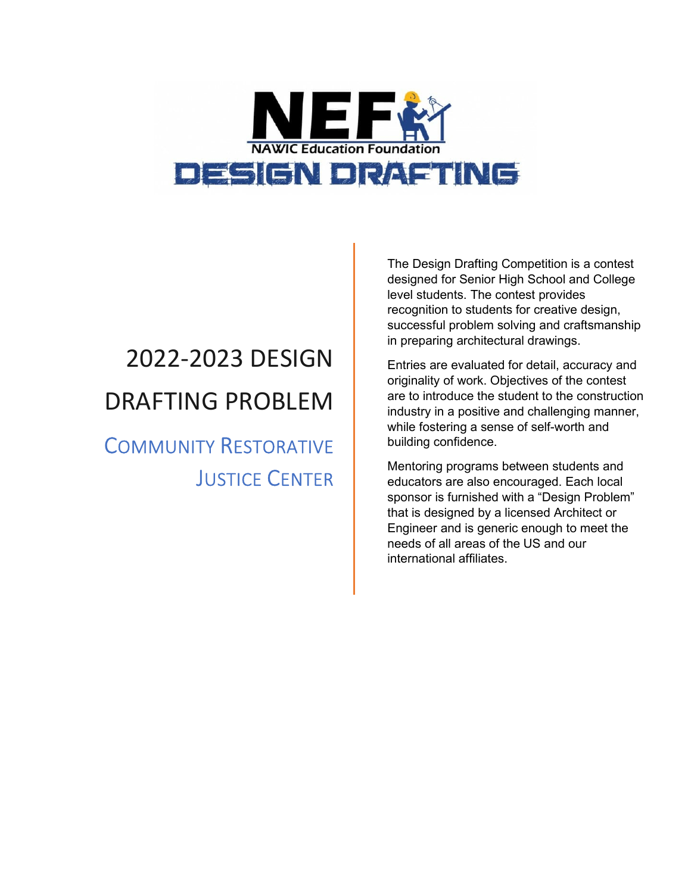

# 2022-2023 DESIGN DRAFTING PROBLEM

COMMUNITY RESTORATIVE JUSTICE CENTER The Design Drafting Competition is a contest designed for Senior High School and College level students. The contest provides recognition to students for creative design, successful problem solving and craftsmanship in preparing architectural drawings.

Entries are evaluated for detail, accuracy and originality of work. Objectives of the contest are to introduce the student to the construction industry in a positive and challenging manner, while fostering a sense of self-worth and building confidence.

Mentoring programs between students and educators are also encouraged. Each local sponsor is furnished with a "Design Problem" that is designed by a licensed Architect or Engineer and is generic enough to meet the needs of all areas of the US and our international affiliates.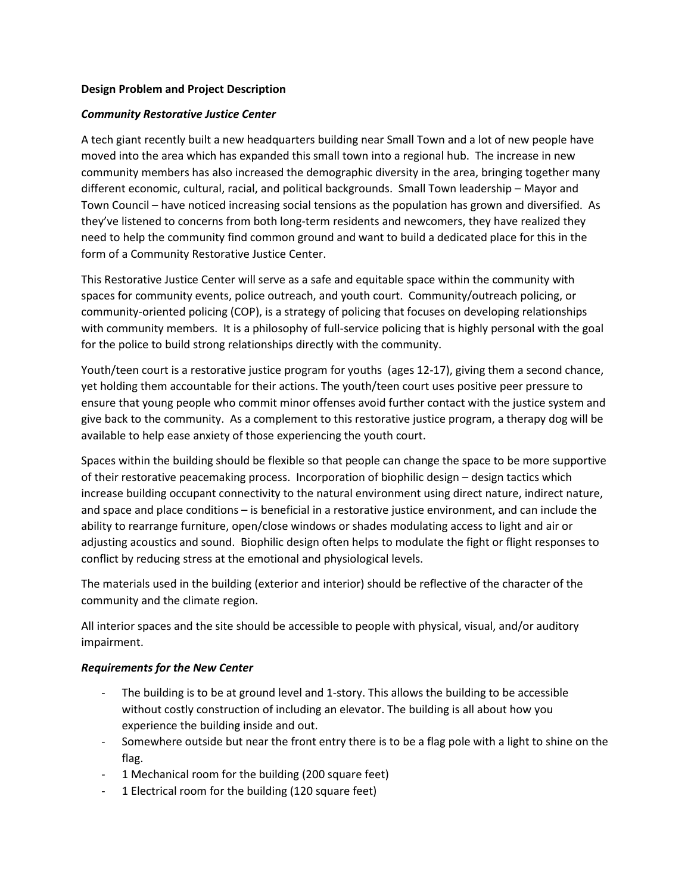#### **Design Problem and Project Description**

#### *Community Restorative Justice Center*

A tech giant recently built a new headquarters building near Small Town and a lot of new people have moved into the area which has expanded this small town into a regional hub. The increase in new community members has also increased the demographic diversity in the area, bringing together many different economic, cultural, racial, and political backgrounds. Small Town leadership – Mayor and Town Council – have noticed increasing social tensions as the population has grown and diversified. As they've listened to concerns from both long-term residents and newcomers, they have realized they need to help the community find common ground and want to build a dedicated place for this in the form of a Community Restorative Justice Center.

This Restorative Justice Center will serve as a safe and equitable space within the community with spaces for community events, police outreach, and youth court. Community/outreach policing, or community-oriented policing (COP), is a strategy of policing that focuses on developing relationships with community members. It is a philosophy of full-service policing that is highly personal with the goal for the police to build strong relationships directly with the community.

Youth/teen court is a restorative justice program for youths (ages 12-17), giving them a second chance, yet holding them accountable for their actions. The youth/teen court uses positive peer pressure to ensure that young people who commit minor offenses avoid further contact with the justice system and give back to the community. As a complement to this restorative justice program, a therapy dog will be available to help ease anxiety of those experiencing the youth court.

Spaces within the building should be flexible so that people can change the space to be more supportive of their restorative peacemaking process. Incorporation of biophilic design – design tactics which increase building occupant connectivity to the natural environment using direct nature, indirect nature, and space and place conditions – is beneficial in a restorative justice environment, and can include the ability to rearrange furniture, open/close windows or shades modulating access to light and air or adjusting acoustics and sound. Biophilic design often helps to modulate the fight or flight responses to conflict by reducing stress at the emotional and physiological levels.

The materials used in the building (exterior and interior) should be reflective of the character of the community and the climate region.

All interior spaces and the site should be accessible to people with physical, visual, and/or auditory impairment.

#### *Requirements for the New Center*

- The building is to be at ground level and 1-story. This allows the building to be accessible without costly construction of including an elevator. The building is all about how you experience the building inside and out.
- Somewhere outside but near the front entry there is to be a flag pole with a light to shine on the flag.
- 1 Mechanical room for the building (200 square feet)
- 1 Electrical room for the building (120 square feet)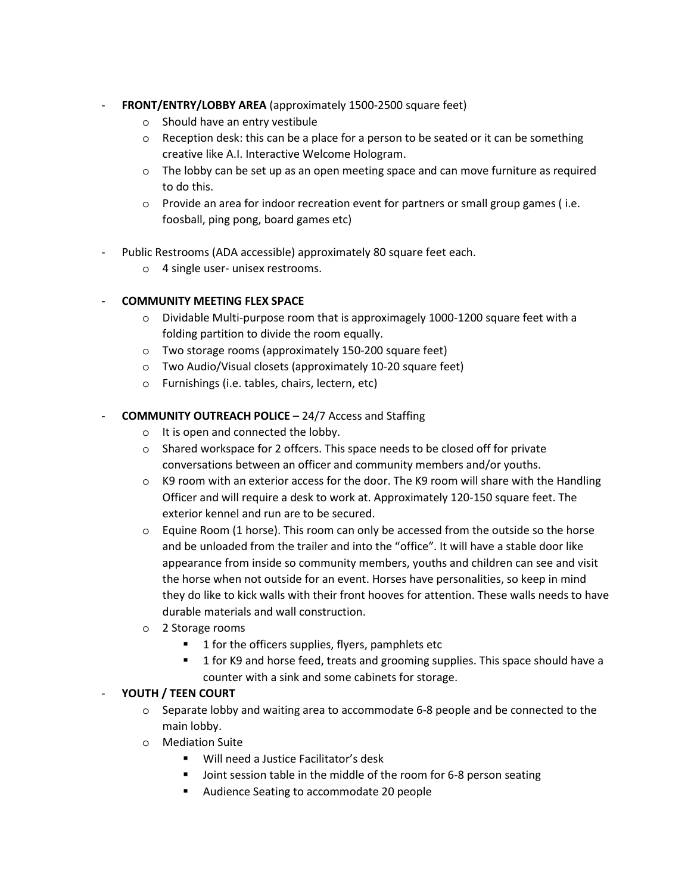## - **FRONT/ENTRY/LOBBY AREA** (approximately 1500-2500 square feet)

- o Should have an entry vestibule
- o Reception desk: this can be a place for a person to be seated or it can be something creative like A.I. Interactive Welcome Hologram.
- o The lobby can be set up as an open meeting space and can move furniture as required to do this.
- o Provide an area for indoor recreation event for partners or small group games ( i.e. foosball, ping pong, board games etc)
- Public Restrooms (ADA accessible) approximately 80 square feet each.
	- o 4 single user- unisex restrooms.

## - **COMMUNITY MEETING FLEX SPACE**

- $\circ$  Dividable Multi-purpose room that is approximagely 1000-1200 square feet with a folding partition to divide the room equally.
- o Two storage rooms (approximately 150-200 square feet)
- o Two Audio/Visual closets (approximately 10-20 square feet)
- o Furnishings (i.e. tables, chairs, lectern, etc)

## - **COMMUNITY OUTREACH POLICE** – 24/7 Access and Staffing

- o It is open and connected the lobby.
- o Shared workspace for 2 offcers. This space needs to be closed off for private conversations between an officer and community members and/or youths.
- $\circ$  K9 room with an exterior access for the door. The K9 room will share with the Handling Officer and will require a desk to work at. Approximately 120-150 square feet. The exterior kennel and run are to be secured.
- $\circ$  Equine Room (1 horse). This room can only be accessed from the outside so the horse and be unloaded from the trailer and into the "office". It will have a stable door like appearance from inside so community members, youths and children can see and visit the horse when not outside for an event. Horses have personalities, so keep in mind they do like to kick walls with their front hooves for attention. These walls needs to have durable materials and wall construction.
- o 2 Storage rooms
	- **1** for the officers supplies, flyers, pamphlets etc
	- **1** for K9 and horse feed, treats and grooming supplies. This space should have a counter with a sink and some cabinets for storage.

#### - **YOUTH / TEEN COURT**

- o Separate lobby and waiting area to accommodate 6-8 people and be connected to the main lobby.
- o Mediation Suite
	- Will need a Justice Facilitator's desk
	- **Joint session table in the middle of the room for 6-8 person seating**
	- **Audience Seating to accommodate 20 people**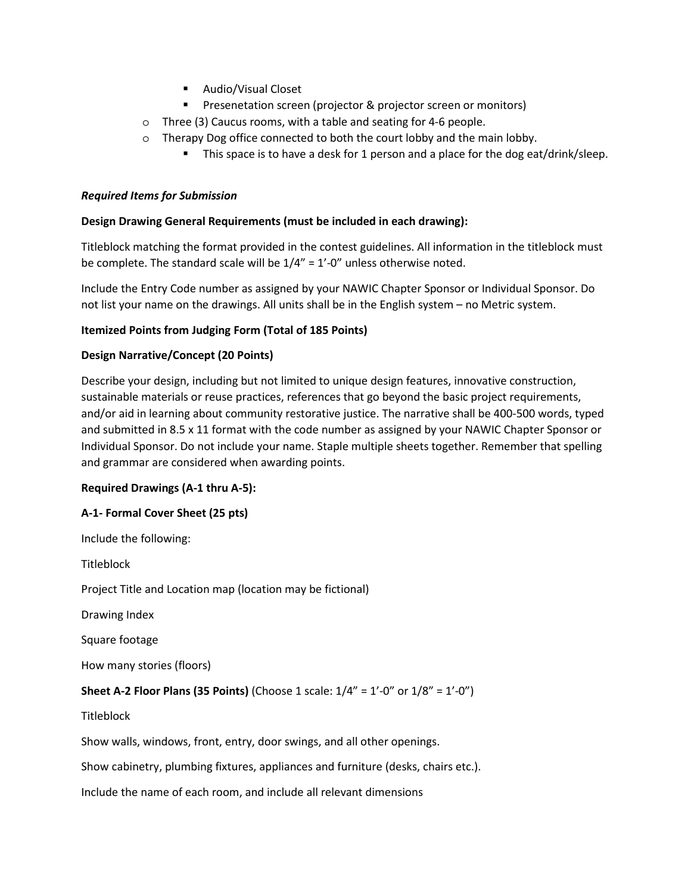- **Audio/Visual Closet**
- **Presenetation screen (projector & projector screen or monitors)**
- o Three (3) Caucus rooms, with a table and seating for 4-6 people.
- o Therapy Dog office connected to both the court lobby and the main lobby.
	- This space is to have a desk for 1 person and a place for the dog eat/drink/sleep.

## *Required Items for Submission*

## **Design Drawing General Requirements (must be included in each drawing):**

Titleblock matching the format provided in the contest guidelines. All information in the titleblock must be complete. The standard scale will be 1/4" = 1'-0" unless otherwise noted.

Include the Entry Code number as assigned by your NAWIC Chapter Sponsor or Individual Sponsor. Do not list your name on the drawings. All units shall be in the English system – no Metric system.

## **Itemized Points from Judging Form (Total of 185 Points)**

## **Design Narrative/Concept (20 Points)**

Describe your design, including but not limited to unique design features, innovative construction, sustainable materials or reuse practices, references that go beyond the basic project requirements, and/or aid in learning about community restorative justice. The narrative shall be 400-500 words, typed and submitted in 8.5 x 11 format with the code number as assigned by your NAWIC Chapter Sponsor or Individual Sponsor. Do not include your name. Staple multiple sheets together. Remember that spelling and grammar are considered when awarding points.

#### **Required Drawings (A-1 thru A-5):**

# **A-1- Formal Cover Sheet (25 pts)**

Include the following:

**Titleblock** 

Project Title and Location map (location may be fictional)

Drawing Index

Square footage

How many stories (floors)

# **Sheet A-2 Floor Plans (35 Points)** (Choose 1 scale: 1/4" = 1'-0" or 1/8" = 1'-0")

**Titleblock** 

Show walls, windows, front, entry, door swings, and all other openings.

Show cabinetry, plumbing fixtures, appliances and furniture (desks, chairs etc.).

Include the name of each room, and include all relevant dimensions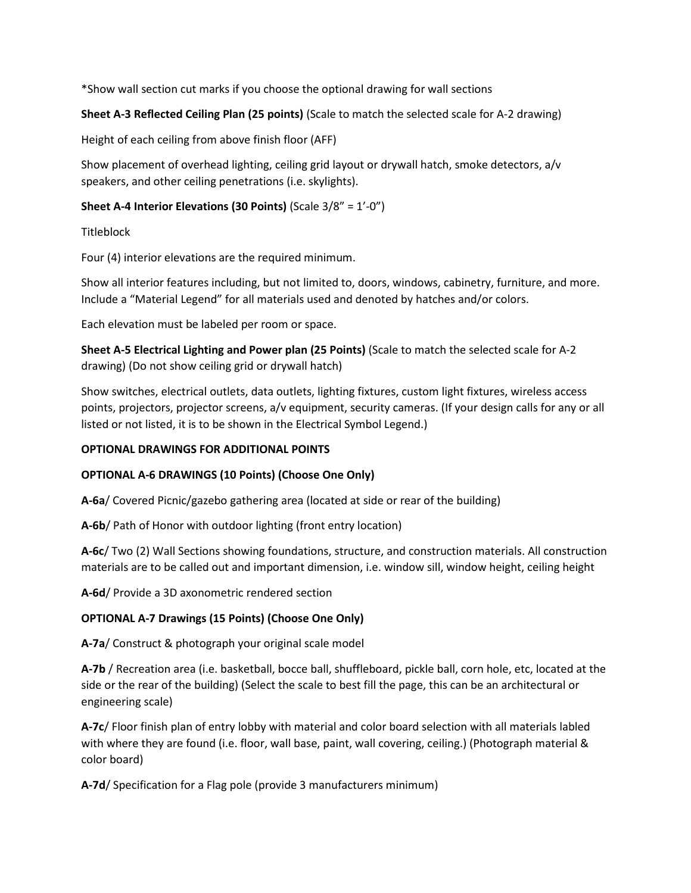\*Show wall section cut marks if you choose the optional drawing for wall sections

# **Sheet A-3 Reflected Ceiling Plan (25 points)** (Scale to match the selected scale for A-2 drawing)

Height of each ceiling from above finish floor (AFF)

Show placement of overhead lighting, ceiling grid layout or drywall hatch, smoke detectors, a/v speakers, and other ceiling penetrations (i.e. skylights).

## **Sheet A-4 Interior Elevations (30 Points)** (Scale 3/8" = 1'-0")

**Titleblock** 

Four (4) interior elevations are the required minimum.

Show all interior features including, but not limited to, doors, windows, cabinetry, furniture, and more. Include a "Material Legend" for all materials used and denoted by hatches and/or colors.

Each elevation must be labeled per room or space.

**Sheet A-5 Electrical Lighting and Power plan (25 Points)** (Scale to match the selected scale for A-2 drawing) (Do not show ceiling grid or drywall hatch)

Show switches, electrical outlets, data outlets, lighting fixtures, custom light fixtures, wireless access points, projectors, projector screens, a/v equipment, security cameras. (If your design calls for any or all listed or not listed, it is to be shown in the Electrical Symbol Legend.)

## **OPTIONAL DRAWINGS FOR ADDITIONAL POINTS**

# **OPTIONAL A-6 DRAWINGS (10 Points) (Choose One Only)**

**A-6a**/ Covered Picnic/gazebo gathering area (located at side or rear of the building)

**A-6b**/ Path of Honor with outdoor lighting (front entry location)

**A-6c**/ Two (2) Wall Sections showing foundations, structure, and construction materials. All construction materials are to be called out and important dimension, i.e. window sill, window height, ceiling height

**A-6d**/ Provide a 3D axonometric rendered section

# **OPTIONAL A-7 Drawings (15 Points) (Choose One Only)**

**A-7a**/ Construct & photograph your original scale model

**A-7b** / Recreation area (i.e. basketball, bocce ball, shuffleboard, pickle ball, corn hole, etc, located at the side or the rear of the building) (Select the scale to best fill the page, this can be an architectural or engineering scale)

**A-7c**/ Floor finish plan of entry lobby with material and color board selection with all materials labled with where they are found (i.e. floor, wall base, paint, wall covering, ceiling.) (Photograph material & color board)

**A-7d**/ Specification for a Flag pole (provide 3 manufacturers minimum)